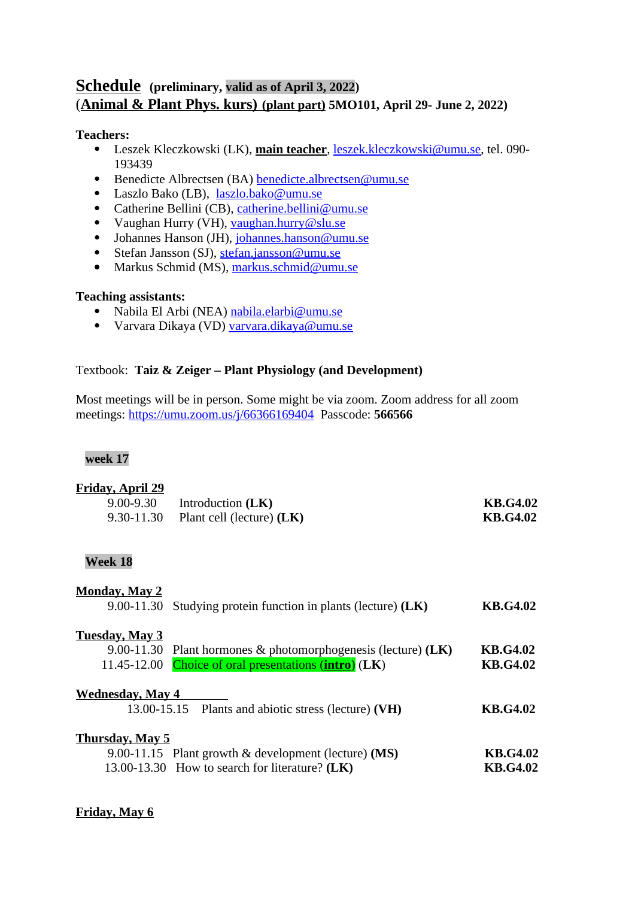## **Schedule (preliminary, valid as of April 3, 2022)** ( **Animal & Plant Phys. kurs) (plant part) 5MO101, April 29- June 2, 2022)**

### **Teachers:**

- Leszek Kleczkowski (LK), **main teacher**, [leszek.kleczkowski@umu.se,](mailto:leszek.kleczkowski@umu.se) tel. 090- 193439
- Benedicte Albrectsen (BA) [benedicte.albrectsen@umu.se](mailto:benedicte.albrectsen@umu.se)
- Laszlo Bako (LB), [laszlo.bako@umu.se](mailto:laszlo.bako@umu.se)
- Catherine Bellini (CB), [catherine.bellini@umu.se](mailto:catherine.bellini@umu.se)
- Vaughan Hurry (VH), [vaughan.hurry@slu.se](mailto:vaughan.hurry@slu.se)
- Johannes Hanson (JH), [johannes.hanson@umu.se](mailto:johannes.hanson@umu.se)
- Stefan Jansson (SJ), [stefan.jansson@umu.se](mailto:stefan.jansson@umu.se)
- Markus Schmid (MS), [markus.schmid@umu.se](mailto:markus.schmid@umu.se)

### **Teaching assistants:**

- Nabila El Arbi (NEA) [nabila.elarbi@umu.se](mailto:nabila.elarbi@umu.se)
- Varvara Dikaya (VD) [varvara.dikaya@umu.se](mailto:varvara.dikaya@umu.se)

### Textbook: **Taiz & Zeiger – Plant Physiology (and Development)**

Most meetings will be in person. Some might be via zoom. Zoom address for all zoom meetings:<https://umu.zoom.us/j/66366169404>Passcode: **566566**

#### **week 17**

# **Friday, April 29** 9.00-9.30 Introduction **(LK) KB.G4.02**  9.30-11.30 Plant cell (lecture) **(LK) KB.G4.02 Week 18 Monday, May 2** 9.00-11.30 Studying protein function in plants (lecture) (LK) **KB.G4.02 Tuesday, May 3** 9.00-11.30 Plant hormones & photomorphogenesis (lecture) **(LK) KB.G4.02**  11.45-12.00 Choice of oral presentations (**intro**) (**LK**) **KB.G4.02**

## **Wednesday, May 4**  13.00-15.15 Plants and abiotic stress (lecture) **(VH) KB.G4.02 Thursday, May 5** 9.00-11.15 Plant growth & development (lecture) **(MS) KB.G4.02** 13.00-13.30 How to search for literature? (LK) KB.G4.02

### **Friday, May 6**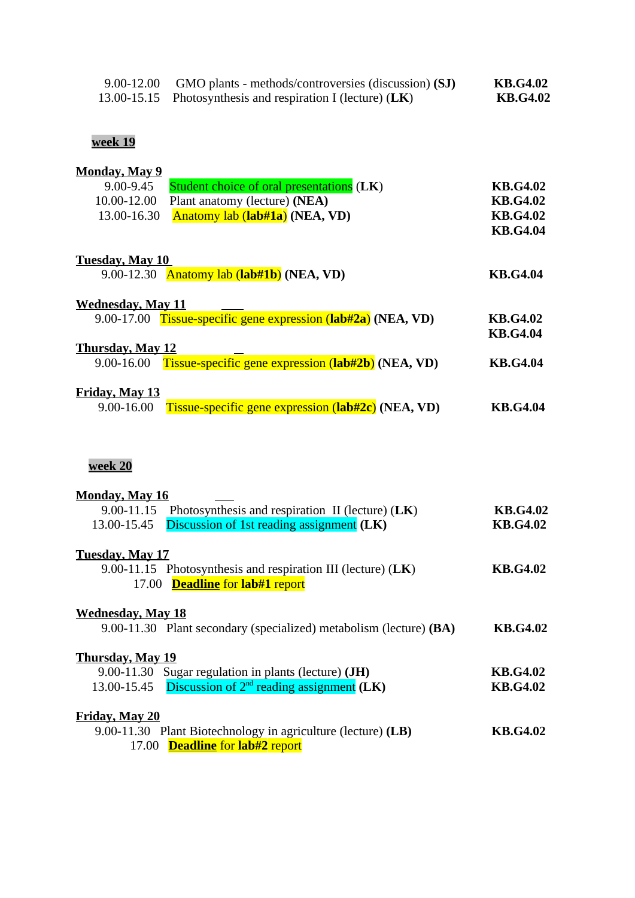| 9.00-12.00 GMO plants - methods/controversies (discussion) (SJ) | <b>KB.G4.02</b> |
|-----------------------------------------------------------------|-----------------|
| 13.00-15.15 Photosynthesis and respiration I (lecture) $(LK)$   | <b>KB.G4.02</b> |

## **week 19**

| <b>Monday, May 9</b>                                                                   |                 |
|----------------------------------------------------------------------------------------|-----------------|
| Student choice of oral presentations (LK)<br>9.00-9.45                                 | <b>KB.G4.02</b> |
| Plant anatomy (lecture) (NEA)<br>10.00-12.00                                           | <b>KB.G4.02</b> |
| Anatomy lab (lab#1a) (NEA, VD)<br>13.00-16.30                                          | <b>KB.G4.02</b> |
|                                                                                        | <b>KB.G4.04</b> |
|                                                                                        |                 |
| <b>Tuesday, May 10</b>                                                                 |                 |
| 9.00-12.30 Anatomy lab (lab#1b) (NEA, VD)                                              | <b>KB.G4.04</b> |
| <b>Wednesday, May 11</b>                                                               |                 |
| 9.00-17.00 Tissue-specific gene expression (lab#2a) (NEA, VD)                          | <b>KB.G4.02</b> |
|                                                                                        | <b>KB.G4.04</b> |
| <b>Thursday, May 12</b>                                                                |                 |
| Tissue-specific gene expression (lab#2b) (NEA, VD)<br>9.00-16.00                       | <b>KB.G4.04</b> |
|                                                                                        |                 |
| <b>Friday, May 13</b>                                                                  |                 |
| Tissue-specific gene expression (lab#2c) (NEA, VD)<br>9.00-16.00                       | <b>KB.G4.04</b> |
|                                                                                        |                 |
|                                                                                        |                 |
|                                                                                        |                 |
| week 20                                                                                |                 |
|                                                                                        |                 |
| <b>Monday, May 16</b><br>9.00-11.15 Photosynthesis and respiration II (lecture) $(LK)$ | <b>KB.G4.02</b> |
| Discussion of 1st reading assignment (LK)<br>13.00-15.45                               | <b>KB.G4.02</b> |
|                                                                                        |                 |
| <b>Tuesday, May 17</b>                                                                 |                 |
| 9.00-11.15 Photosynthesis and respiration III (lecture) (LK)                           | <b>KB.G4.02</b> |
| <b>Deadline</b> for lab#1 report<br>17.00                                              |                 |
|                                                                                        |                 |
| <b>Wednesday, May 18</b>                                                               |                 |
| 9.00-11.30 Plant secondary (specialized) metabolism (lecture) (BA)                     | <b>KB.G4.02</b> |
|                                                                                        |                 |
| <b>Thursday, May 19</b>                                                                |                 |
| 9.00-11.30<br>Sugar regulation in plants (lecture) (JH)                                | <b>KB.G4.02</b> |
| Discussion of $2nd$ reading assignment (LK)<br>13.00-15.45                             | <b>KB.G4.02</b> |
|                                                                                        |                 |
| Friday, May 20                                                                         |                 |
| 9.00-11.30 Plant Biotechnology in agriculture (lecture) (LB)                           | <b>KB.G4.02</b> |
| 17.00 <b>Deadline</b> for lab#2 report                                                 |                 |